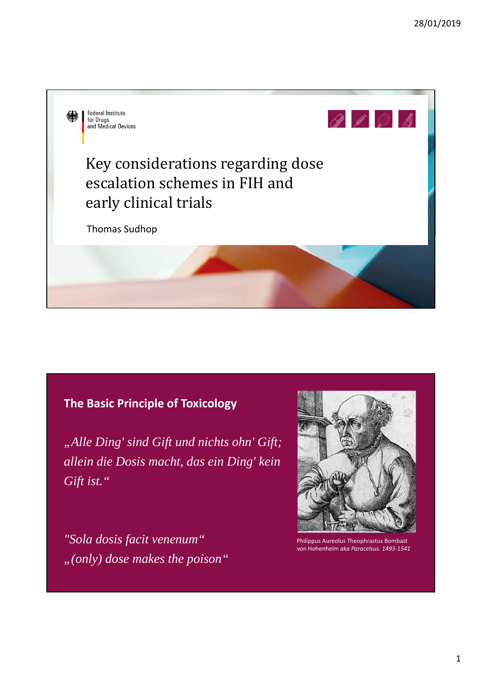

## **The Basic Principle of Toxicology**

*"Alle Ding' sind Gift und nichts ohn' Gift; allein die Dosis macht, das ein Ding' kein Gift ist."*

*"Sola dosis facit venenum" "(only) dose makes the poison"*



Philippus Aureolus Theophrastus Bombast von Hohenheim *aka Paracelsus. 1493‐1541*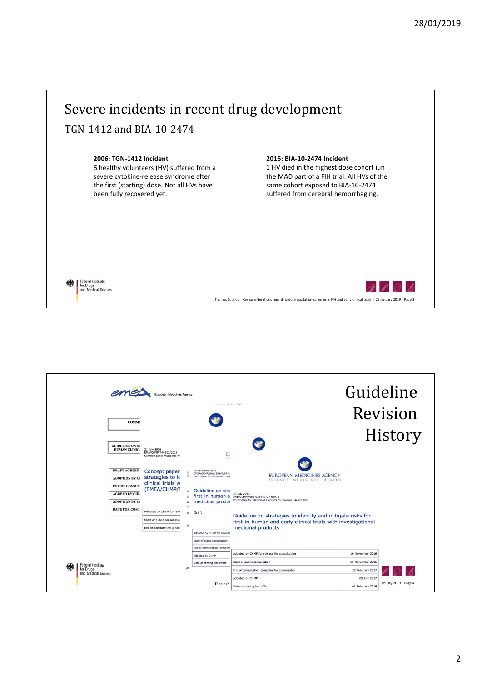

| <b>COMMI</b><br><b>GUIDELINE ON ST</b><br>HUMAN CLINIC.                                      | European Medicines Agency<br>21 July 2016                                                                                     | $1 - 1 - 101 - 002$                                                                                                 |                                                                                                                                                                                                            |                                                                          | Guideline<br>Revision<br>History |
|----------------------------------------------------------------------------------------------|-------------------------------------------------------------------------------------------------------------------------------|---------------------------------------------------------------------------------------------------------------------|------------------------------------------------------------------------------------------------------------------------------------------------------------------------------------------------------------|--------------------------------------------------------------------------|----------------------------------|
| <b>DRAFT AGREED</b><br><b>ADOPTION BY CI</b><br><b>END OF CONSUL</b><br><b>AGREED BY CHM</b> | EMA/CHMP/446302/2016<br>Committee for Medicinal Pro<br>Concept paper<br>strategies to ic<br>clinical trials w<br>(EMEA/CHMP/S | El<br>5C<br>10 November 2016<br>EMEA/CHMP/SWP/28367/07 R<br>Committee for Medicinal Produ<br>3<br>Guideline on stra | EUROPEAN MEDICINES AGENCY<br>SCIENCE MEDICINES<br>HEALTH<br>20 July 2017<br>first-in-human a EMEA/CHMP/SWP/28367/07 Rev. 1                                                                                 |                                                                          |                                  |
| <b>ADOPTION BY CI</b><br><b>DATE FOR COMI</b>                                                | Adopted by CHMP for rele-<br>Start of public consultation<br>End of consultation (deadl                                       | medicinal produ-<br>$\mathbf{R}$<br>Draft<br>q<br>Adopted by CHMP for release<br>Start of public consultation       | Committee for Medicinal Products for Human Use (CHMP)<br>Guideline on strategies to identify and mitigate risks for<br>first-in-human and early clinical trials with investigational<br>medicinal products |                                                                          |                                  |
| <b>Federal Institute</b><br>for Drugs<br>and Medical Devices                                 | 10<br>                                                                                                                        | End of consultation (deadline<br>Adopted by CHMP<br>Date of coming into effect<br>Thomas S                          | Adopted by CHMP for release for consultation<br>Start of public consultation<br>End of consultation (deadline for comments)<br>Adopted by CHMP                                                             | 10 November 2016<br>15 November 2016<br>28 February 2017<br>20 July 2017 | anuary 2019   Page 4             |

## 2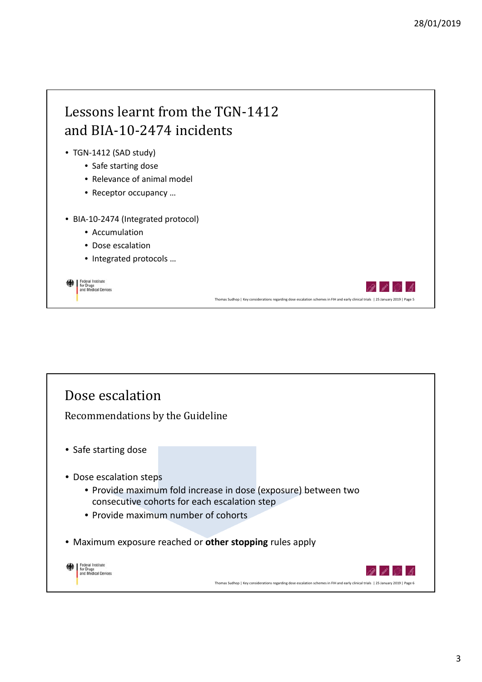

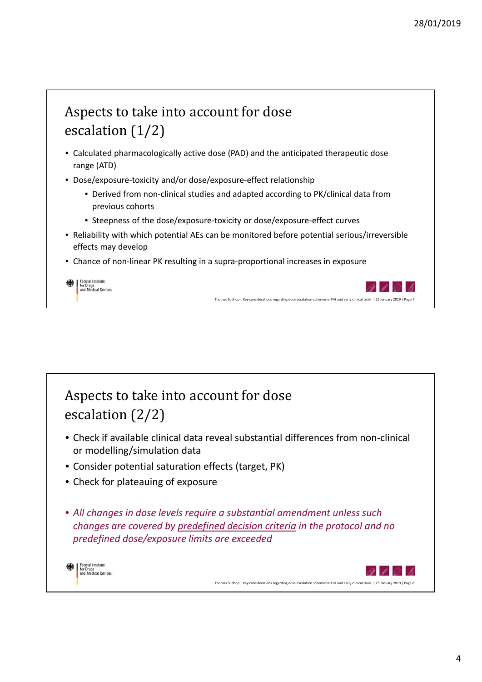## Aspects to take into account for dose escalation  $(1/2)$ • Calculated pharmacologically active dose (PAD) and the anticipated therapeutic dose range (ATD) • Dose/exposure-toxicity and/or dose/exposure-effect relationship • Derived from non‐clinical studies and adapted according to PK/clinical data from previous cohorts • Steepness of the dose/exposure‐toxicity or dose/exposure‐effect curves • Reliability with which potential AEs can be monitored before potential serious/irreversible effects may develop • Chance of non-linear PK resulting in a supra-proportional increases in exposure Federal Institute<br>for Drugs<br>and Medical Devices Thomas Sudhop | Key considerations regarding dose escalation schemes in FIH and early clinical trials | 25 January 2019 | Page 7

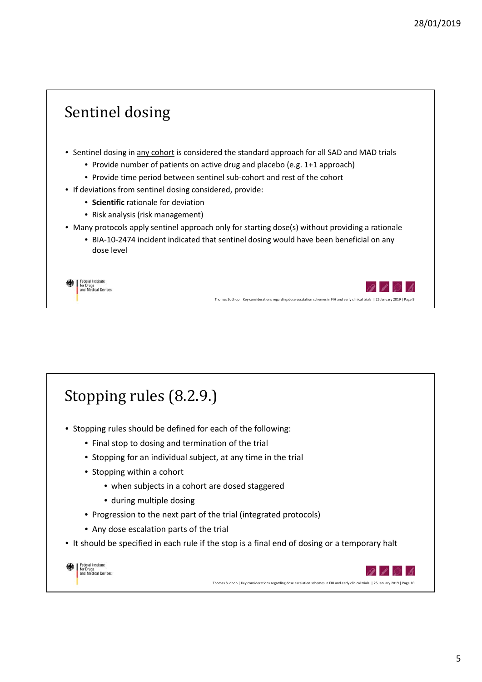

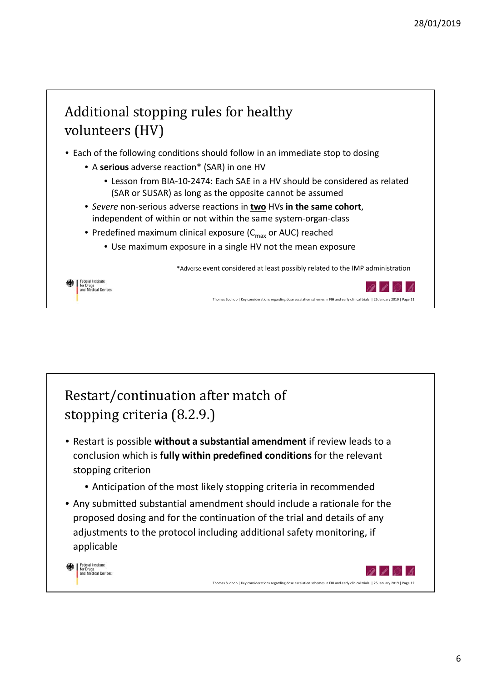

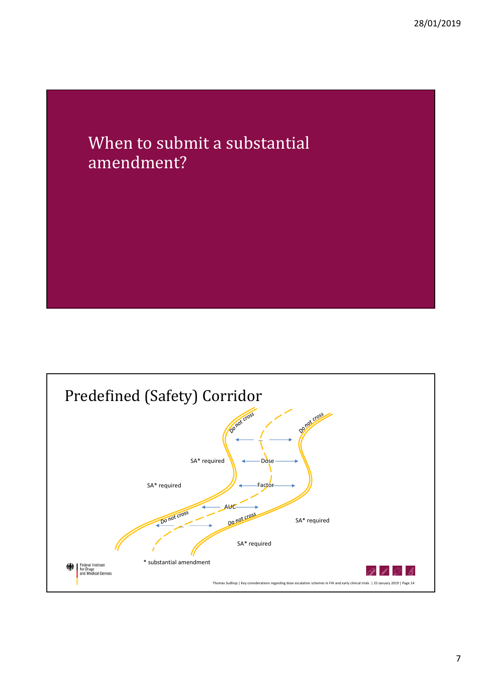